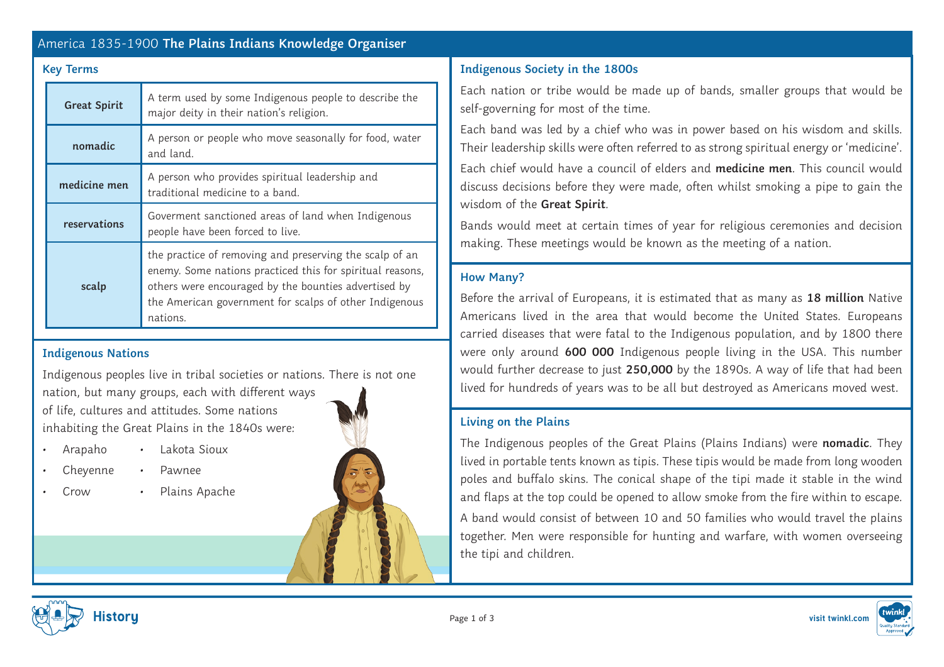# America 1835-1900 **The Plains Indians Knowledge Organiser**

| <b>Great Spirit</b> | A term used by some Indigenous people to describe the<br>major deity in their nation's religion.                                                                                                                                                   |
|---------------------|----------------------------------------------------------------------------------------------------------------------------------------------------------------------------------------------------------------------------------------------------|
| nomadic             | A person or people who move seasonally for food, water<br>and land.                                                                                                                                                                                |
| medicine men        | A person who provides spiritual leadership and<br>traditional medicine to a band.                                                                                                                                                                  |
| reservations        | Goverment sanctioned areas of land when Indigenous<br>people have been forced to live.                                                                                                                                                             |
| scalp               | the practice of removing and preserving the scalp of an<br>enemy. Some nations practiced this for spiritual reasons,<br>others were encouraged by the bounties advertised by<br>the American government for scalps of other Indigenous<br>nations. |

## **Indigenous Nations**

Indigenous peoples live in tribal societies or nations. There is not one nation, but many groups, each with different ways of life, cultures and attitudes. Some nations inhabiting the Great Plains in the 1840s were:

- Arapaho • Lakota Sioux
	- Cheyenne • Pawnee
- Crow
	- Plains Apache



# **Key Terms Indigenous Society in the 1800s**

Each nation or tribe would be made up of bands, smaller groups that would be self-governing for most of the time.

Each band was led by a chief who was in power based on his wisdom and skills. Their leadership skills were often referred to as strong spiritual energy or 'medicine'.

Each chief would have a council of elders and **medicine men**. This council would discuss decisions before they were made, often whilst smoking a pipe to gain the wisdom of the **Great Spirit**.

Bands would meet at certain times of year for religious ceremonies and decision making. These meetings would be known as the meeting of a nation.

# **How Many?**

Before the arrival of Europeans, it is estimated that as many as **18 million** Native Americans lived in the area that would become the United States. Europeans carried diseases that were fatal to the Indigenous population, and by 1800 there were only around **600 000** Indigenous people living in the USA. This number would further decrease to just **250,000** by the 1890s. A way of life that had been lived for hundreds of years was to be all but destroyed as Americans moved west.

## **Living on the Plains**

The Indigenous peoples of the Great Plains (Plains Indians) were **nomadic**. They lived in portable tents known as tipis. These tipis would be made from long wooden poles and buffalo skins. The conical shape of the tipi made it stable in the wind and flaps at the top could be opened to allow smoke from the fire within to escape. A band would consist of between 10 and 50 families who would travel the plains together. Men were responsible for hunting and warfare, with women overseeing the tipi and children.



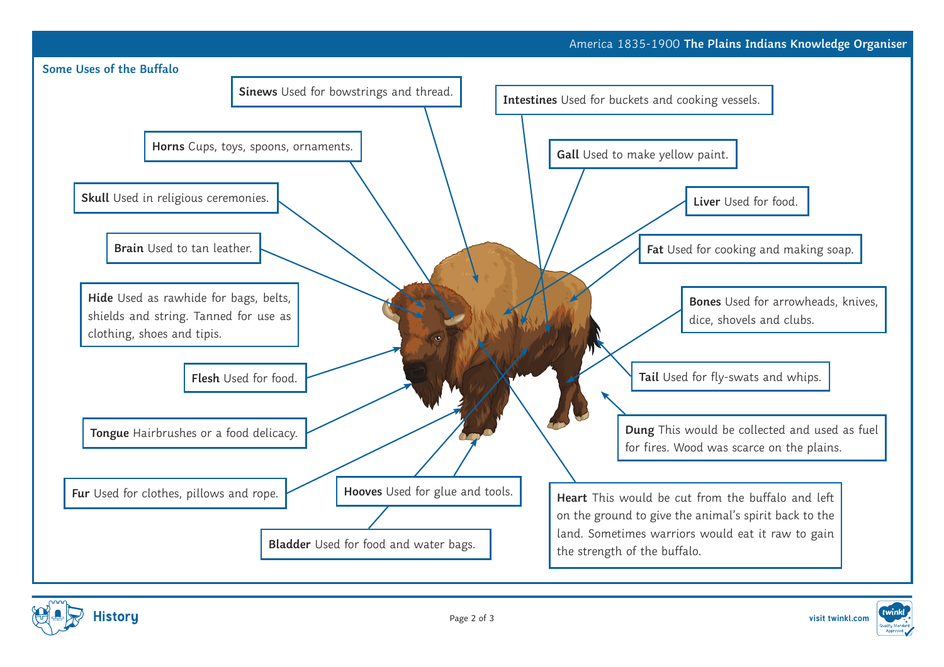



Page 2 of 3 **visit twinkl.com**